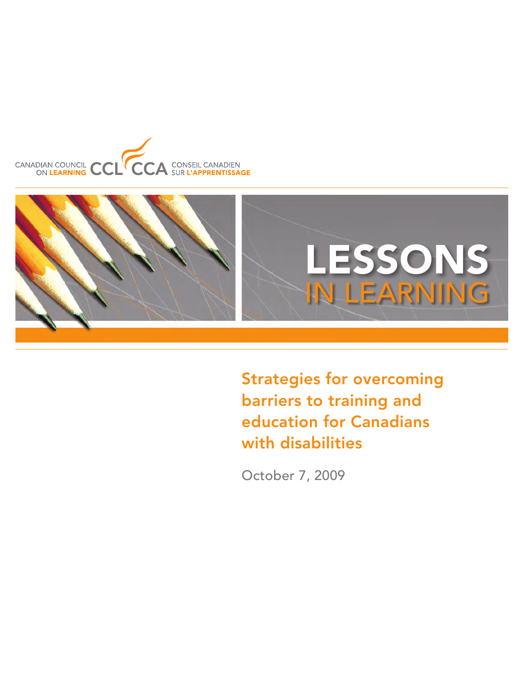



Strategies for overcoming barriers to training and education for Canadians with disabilities

October 7, 2009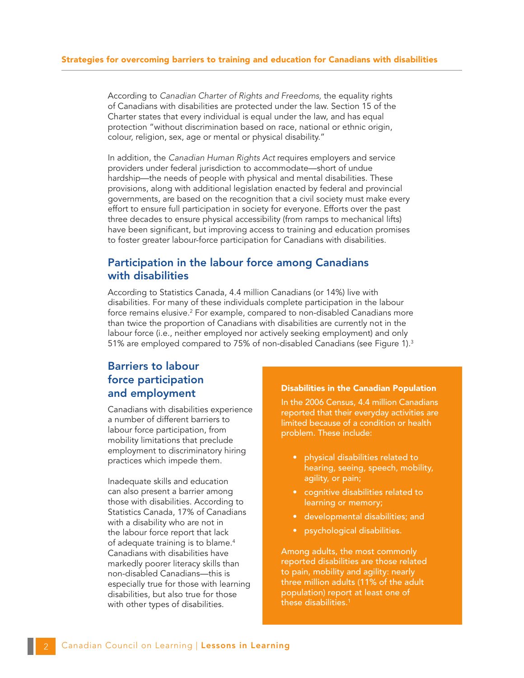According to *Canadian Charter of Rights and Freedoms,* the equality rights of Canadians with disabilities are protected under the law. Section 15 of the Charter states that every individual is equal under the law, and has equal protection "without discrimination based on race, national or ethnic origin, colour, religion, sex, age or mental or physical disability."

In addition, the *Canadian Human Rights Act* requires employers and service providers under federal jurisdiction to accommodate—short of undue hardship—the needs of people with physical and mental disabilities. These provisions, along with additional legislation enacted by federal and provincial governments, are based on the recognition that a civil society must make every effort to ensure full participation in society for everyone. Efforts over the past three decades to ensure physical accessibility (from ramps to mechanical lifts) have been significant, but improving access to training and education promises to foster greater labour-force participation for Canadians with disabilities.

## Participation in the labour force among Canadians with disabilities

According to Statistics Canada, 4.4 million Canadians (or 14%) live with disabilities. For many of these individuals complete participation in the labour force remains elusive. $2$  For example, compared to non-disabled Canadians more than twice the proportion of Canadians with disabilities are currently not in the labour force (i.e., neither employed nor actively seeking employment) and only 51% are employed compared to 75% of non-disabled Canadians (see Figure 1).<sup>3</sup>

# Barriers to labour force participation and employment

Canadians with disabilities experience a number of different barriers to labour force participation, from mobility limitations that preclude employment to discriminatory hiring practices which impede them.

Inadequate skills and education can also present a barrier among those with disabilities. According to Statistics Canada, 17% of Canadians with a disability who are not in the labour force report that lack of adequate training is to blame.<sup>4</sup> Canadians with disabilities have markedly poorer literacy skills than non-disabled Canadians—this is especially true for those with learning disabilities, but also true for those with other types of disabilities.

#### Disabilities in the Canadian Population

In the 2006 Census, 4.4 million Canadians reported that their everyday activities are limited because of a condition or health problem. These include:

- • physical disabilities related to hearing, seeing, speech, mobility, agility, or pain;
- cognitive disabilities related to learning or memory;
- • developmental disabilities; and
- psychological disabilities.

Among adults, the most commonly reported disabilities are those related to pain, mobility and agility: nearly three million adults (11% of the adult population) report at least one of these disabilities.1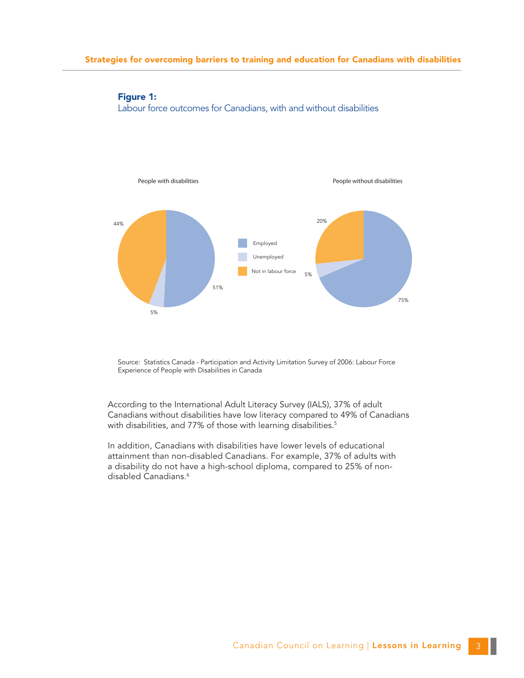

## Figure 1: Labour force outcomes for Canadians, with and without disabilities

Source: Statistics Canada - Participation and Activity Limitation Survey of 2006: Labour Force Experience of People with Disabilities in Canada

According to the International Adult Literacy Survey (IALS), 37% of adult Canadians without disabilities have low literacy compared to 49% of Canadians with disabilities, and 77% of those with learning disabilities.<sup>5</sup>

In addition, Canadians with disabilities have lower levels of educational attainment than non-disabled Canadians. For example, 37% of adults with a disability do not have a high-school diploma, compared to 25% of nondisabled Canadians.<sup>6</sup>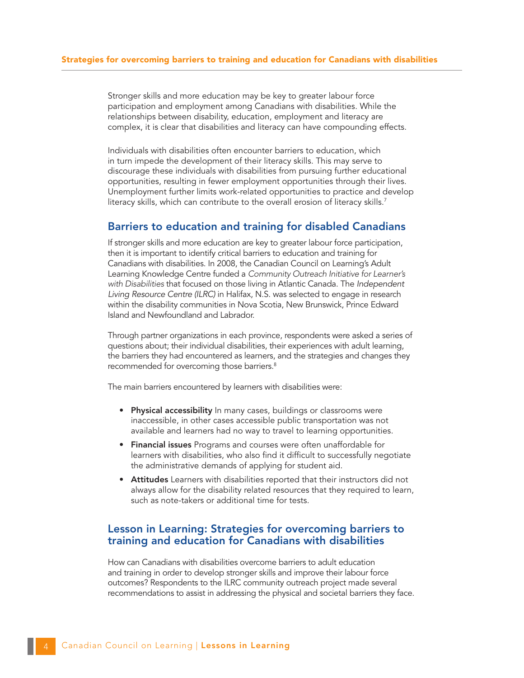Stronger skills and more education may be key to greater labour force participation and employment among Canadians with disabilities. While the relationships between disability, education, employment and literacy are complex, it is clear that disabilities and literacy can have compounding effects.

Individuals with disabilities often encounter barriers to education, which in turn impede the development of their literacy skills. This may serve to discourage these individuals with disabilities from pursuing further educational opportunities, resulting in fewer employment opportunities through their lives. Unemployment further limits work-related opportunities to practice and develop literacy skills, which can contribute to the overall erosion of literacy skills.<sup>7</sup>

## Barriers to education and training for disabled Canadians

If stronger skills and more education are key to greater labour force participation, then it is important to identify critical barriers to education and training for Canadians with disabilities. In 2008, the Canadian Council on Learning's Adult Learning Knowledge Centre funded a *Community Outreach Initiative for Learner's with Disabilities* that focused on those living in Atlantic Canada. The *Independent Living Resource Centre (ILRC)* in Halifax, N.S. was selected to engage in research within the disability communities in Nova Scotia, New Brunswick, Prince Edward Island and Newfoundland and Labrador.

Through partner organizations in each province, respondents were asked a series of questions about; their individual disabilities, their experiences with adult learning, the barriers they had encountered as learners, and the strategies and changes they recommended for overcoming those barriers.<sup>8</sup>

The main barriers encountered by learners with disabilities were:

- Physical accessibility In many cases, buildings or classrooms were inaccessible, in other cases accessible public transportation was not available and learners had no way to travel to learning opportunities.
- Financial issues Programs and courses were often unaffordable for learners with disabilities, who also find it difficult to successfully negotiate the administrative demands of applying for student aid.
- Attitudes Learners with disabilities reported that their instructors did not always allow for the disability related resources that they required to learn, such as note-takers or additional time for tests.

## Lesson in Learning: Strategies for overcoming barriers to training and education for Canadians with disabilities

How can Canadians with disabilities overcome barriers to adult education and training in order to develop stronger skills and improve their labour force outcomes? Respondents to the ILRC community outreach project made several recommendations to assist in addressing the physical and societal barriers they face.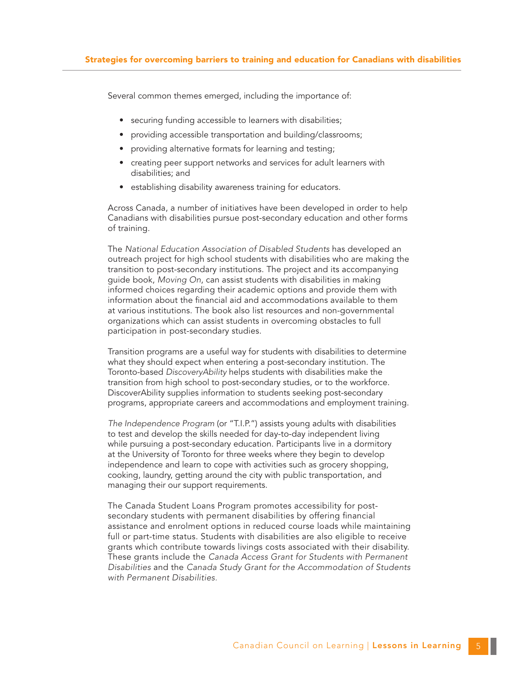Several common themes emerged, including the importance of:

- securing funding accessible to learners with disabilities;
- providing accessible transportation and building/classrooms;
- providing alternative formats for learning and testing;
- creating peer support networks and services for adult learners with disabilities; and
- establishing disability awareness training for educators.

Across Canada, a number of initiatives have been developed in order to help Canadians with disabilities pursue post-secondary education and other forms of training.

The *National Education Association of Disabled Students* has developed an outreach project for high school students with disabilities who are making the transition to post-secondary institutions. The project and its accompanying guide book, *Moving On*, can assist students with disabilities in making informed choices regarding their academic options and provide them with information about the financial aid and accommodations available to them at various institutions. The book also list resources and non-governmental organizations which can assist students in overcoming obstacles to full participation in post-secondary studies.

Transition programs are a useful way for students with disabilities to determine what they should expect when entering a post-secondary institution. The Toronto-based *DiscoveryAbility* helps students with disabilities make the transition from high school to post-secondary studies, or to the workforce. DiscoverAbility supplies information to students seeking post-secondary programs, appropriate careers and accommodations and employment training.

*The Independence Program* (or "T.I.P.") assists young adults with disabilities to test and develop the skills needed for day-to-day independent living while pursuing a post-secondary education. Participants live in a dormitory at the University of Toronto for three weeks where they begin to develop independence and learn to cope with activities such as grocery shopping, cooking, laundry, getting around the city with public transportation, and managing their our support requirements.

The Canada Student Loans Program promotes accessibility for postsecondary students with permanent disabilities by offering financial assistance and enrolment options in reduced course loads while maintaining full or part-time status. Students with disabilities are also eligible to receive grants which contribute towards livings costs associated with their disability. These grants include the *Canada Access Grant for Students with Permanent Disabilities* and the *Canada Study Grant for the Accommodation of Students with Permanent Disabilities.*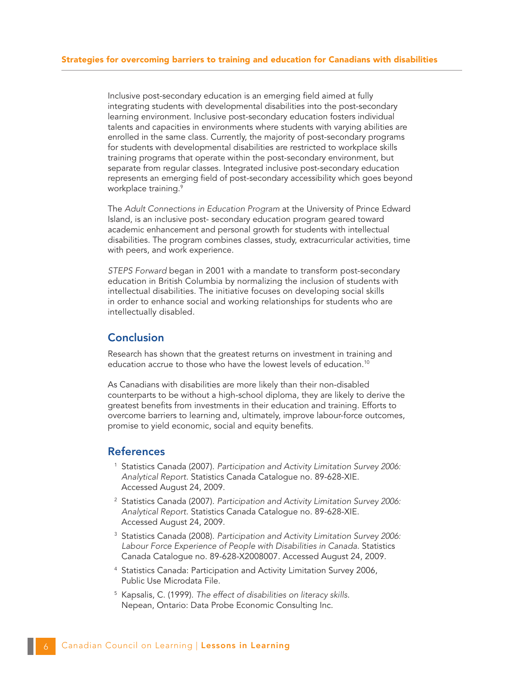Inclusive post-secondary education is an emerging field aimed at fully integrating students with developmental disabilities into the post-secondary learning environment. Inclusive post-secondary education fosters individual talents and capacities in environments where students with varying abilities are enrolled in the same class. Currently, the majority of post-secondary programs for students with developmental disabilities are restricted to workplace skills training programs that operate within the post-secondary environment, but separate from regular classes. Integrated inclusive post-secondary education represents an emerging field of post-secondary accessibility which goes beyond workplace training.<sup>9</sup>

The *Adult Connections in Education Program* at the University of Prince Edward Island, is an inclusive post- secondary education program geared toward academic enhancement and personal growth for students with intellectual disabilities. The program combines classes, study, extracurricular activities, time with peers, and work experience.

*STEPS Forward* began in 2001 with a mandate to transform post-secondary education in British Columbia by normalizing the inclusion of students with intellectual disabilities. The initiative focuses on developing social skills in order to enhance social and working relationships for students who are intellectually disabled.

## Conclusion

Research has shown that the greatest returns on investment in training and education accrue to those who have the lowest levels of education.<sup>10</sup>

As Canadians with disabilities are more likely than their non-disabled counterparts to be without a high-school diploma, they are likely to derive the greatest benefits from investments in their education and training. Efforts to overcome barriers to learning and, ultimately, improve labour-force outcomes, promise to yield economic, social and equity benefits.

#### References

- <sup>1</sup> Statistics Canada (2007). *Participation and Activity Limitation Survey 2006: Analytical Report*. Statistics Canada Catalogue no. 89-628-XIE. Accessed August 24, 2009.
- <sup>2</sup> Statistics Canada (2007). *Participation and Activity Limitation Survey 2006: Analytical Report*. Statistics Canada Catalogue no. 89-628-XIE. Accessed August 24, 2009.
- <sup>3</sup> Statistics Canada (2008). *Participation and Activity Limitation Survey 2006: Labour Force Experience of People with Disabilities in Canada*. Statistics Canada Catalogue no. 89-628-X2008007. Accessed August 24, 2009.
- <sup>4</sup> Statistics Canada: Participation and Activity Limitation Survey 2006, Public Use Microdata File.
- <sup>5</sup> Kapsalis, C. (1999). *The effect of disabilities on literacy skills*. Nepean, Ontario: Data Probe Economic Consulting Inc.